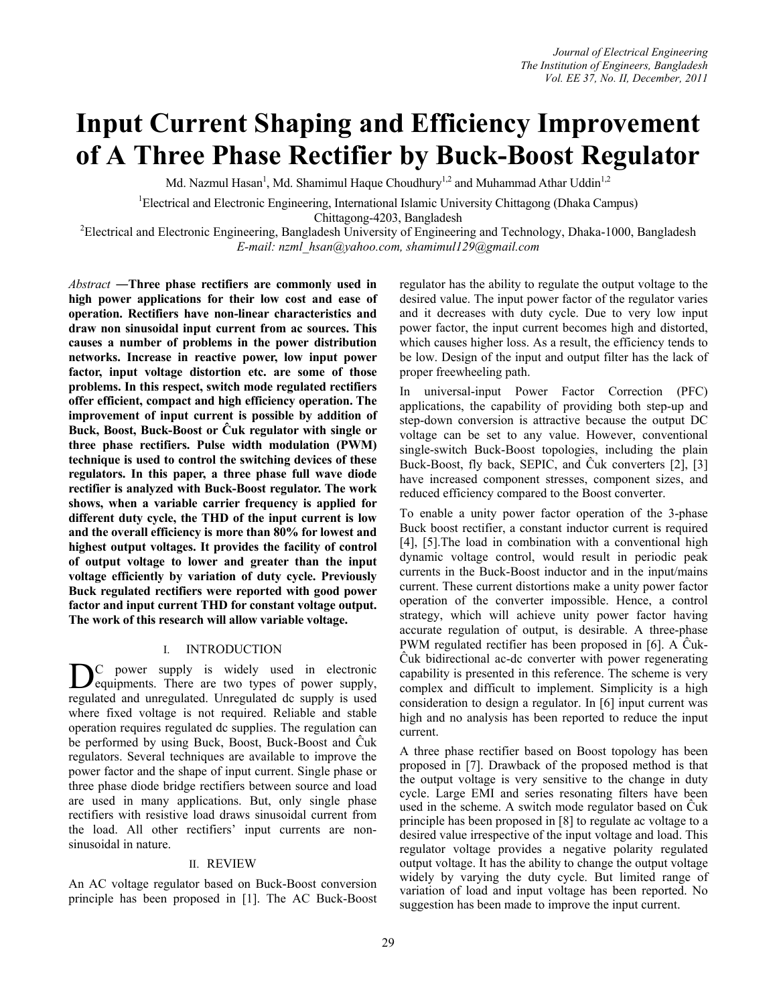# **Input Current Shaping and Efficiency Improvement of A Three Phase Rectifier by Buck-Boost Regulator**

Md. Nazmul Hasan<sup>1</sup>, Md. Shamimul Haque Choudhury<sup>1,2</sup> and Muhammad Athar Uddin<sup>1,2</sup>

<sup>1</sup>Electrical and Electronic Engineering, International Islamic University Chittagong (Dhaka Campus)

Chittagong-4203, Bangladesh<br><sup>2</sup>Electrical and Electronic Engineering, Bangladesh University of Engineering and Technology, Dhaka-1000, Bangladesh *E-mail: nzml\_hsan@yahoo.com, shamimul129@gmail.com*

*Abstract ―***Three phase rectifiers are commonly used in high power applications for their low cost and ease of operation. Rectifiers have non-linear characteristics and draw non sinusoidal input current from ac sources. This causes a number of problems in the power distribution networks. Increase in reactive power, low input power factor, input voltage distortion etc. are some of those problems. In this respect, switch mode regulated rectifiers offer efficient, compact and high efficiency operation. The improvement of input current is possible by addition of Buck, Boost, Buck-Boost or Ĉuk regulator with single or three phase rectifiers. Pulse width modulation (PWM) technique is used to control the switching devices of these regulators. In this paper, a three phase full wave diode rectifier is analyzed with Buck-Boost regulator. The work shows, when a variable carrier frequency is applied for different duty cycle, the THD of the input current is low and the overall efficiency is more than 80% for lowest and highest output voltages. It provides the facility of control of output voltage to lower and greater than the input voltage efficiently by variation of duty cycle. Previously Buck regulated rectifiers were reported with good power factor and input current THD for constant voltage output. The work of this research will allow variable voltage.** 

## I. INTRODUCTION

C power supply is widely used in electronic D<sub>equipments</sub>. There are two types of power supply, regulated and unregulated. Unregulated dc supply is used where fixed voltage is not required. Reliable and stable operation requires regulated dc supplies. The regulation can be performed by using Buck, Boost, Buck-Boost and Ĉuk regulators. Several techniques are available to improve the power factor and the shape of input current. Single phase or three phase diode bridge rectifiers between source and load are used in many applications. But, only single phase rectifiers with resistive load draws sinusoidal current from the load. All other rectifiers' input currents are nonsinusoidal in nature.

## II. REVIEW

An AC voltage regulator based on Buck-Boost conversion principle has been proposed in [1]. The AC Buck-Boost regulator has the ability to regulate the output voltage to the desired value. The input power factor of the regulator varies and it decreases with duty cycle. Due to very low input power factor, the input current becomes high and distorted, which causes higher loss. As a result, the efficiency tends to be low. Design of the input and output filter has the lack of proper freewheeling path.

In universal-input Power Factor Correction (PFC) applications, the capability of providing both step-up and step-down conversion is attractive because the output DC voltage can be set to any value. However, conventional single-switch Buck-Boost topologies, including the plain Buck-Boost, fly back, SEPIC, and Ĉuk converters [2], [3] have increased component stresses, component sizes, and reduced efficiency compared to the Boost converter.

To enable a unity power factor operation of the 3-phase Buck boost rectifier, a constant inductor current is required [4], [5].The load in combination with a conventional high dynamic voltage control, would result in periodic peak currents in the Buck-Boost inductor and in the input/mains current. These current distortions make a unity power factor operation of the converter impossible. Hence, a control strategy, which will achieve unity power factor having accurate regulation of output, is desirable. A three-phase PWM regulated rectifier has been proposed in [6]. A Ĉuk-Ĉuk bidirectional ac-dc converter with power regenerating capability is presented in this reference. The scheme is very complex and difficult to implement. Simplicity is a high consideration to design a regulator. In [6] input current was high and no analysis has been reported to reduce the input current.

A three phase rectifier based on Boost topology has been proposed in [7]. Drawback of the proposed method is that the output voltage is very sensitive to the change in duty cycle. Large EMI and series resonating filters have been used in the scheme. A switch mode regulator based on Ĉuk principle has been proposed in [8] to regulate ac voltage to a desired value irrespective of the input voltage and load. This regulator voltage provides a negative polarity regulated output voltage. It has the ability to change the output voltage widely by varying the duty cycle. But limited range of variation of load and input voltage has been reported. No suggestion has been made to improve the input current.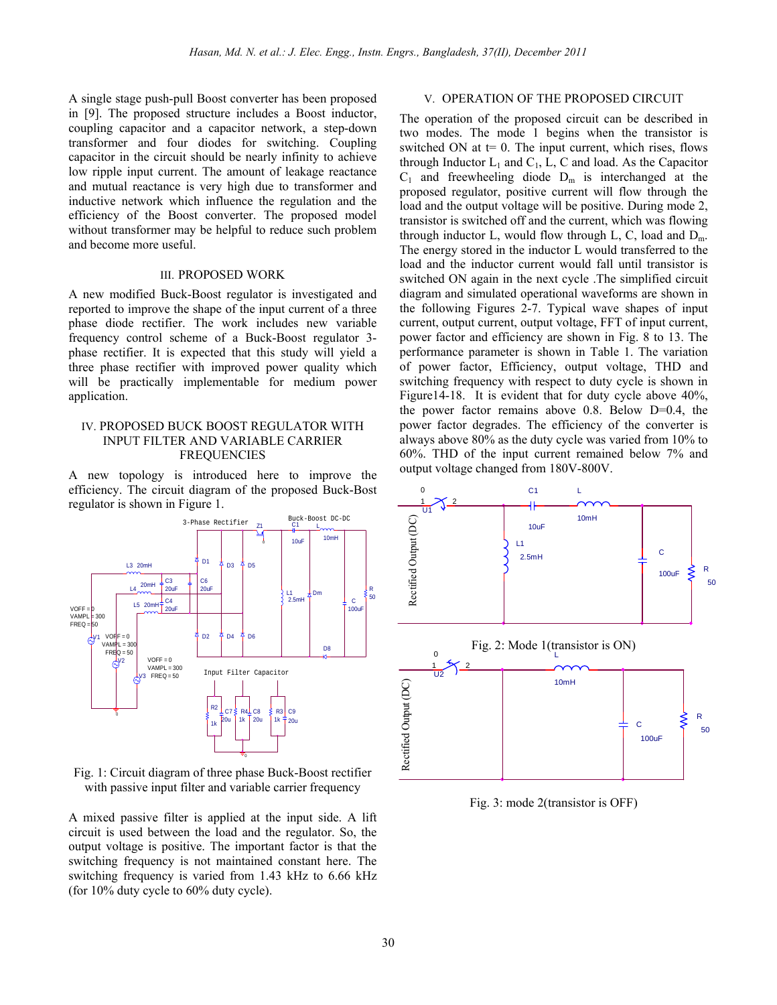A single stage push-pull Boost converter has been proposed in [9]. The proposed structure includes a Boost inductor, coupling capacitor and a capacitor network, a step-down transformer and four diodes for switching. Coupling capacitor in the circuit should be nearly infinity to achieve low ripple input current. The amount of leakage reactance and mutual reactance is very high due to transformer and inductive network which influence the regulation and the efficiency of the Boost converter. The proposed model without transformer may be helpful to reduce such problem and become more useful.

#### III. PROPOSED WORK

A new modified Buck-Boost regulator is investigated and reported to improve the shape of the input current of a three phase diode rectifier. The work includes new variable frequency control scheme of a Buck-Boost regulator 3 phase rectifier. It is expected that this study will yield a three phase rectifier with improved power quality which will be practically implementable for medium power application.

## IV. PROPOSED BUCK BOOST REGULATOR WITH INPUT FILTER AND VARIABLE CARRIER FREQUENCIES

A new topology is introduced here to improve the efficiency. The circuit diagram of the proposed Buck-Bost regulator is shown in Figure 1.



Fig. 1: Circuit diagram of three phase Buck-Boost rectifier with passive input filter and variable carrier frequency

A mixed passive filter is applied at the input side. A lift circuit is used between the load and the regulator. So, the output voltage is positive. The important factor is that the switching frequency is not maintained constant here. The switching frequency is varied from 1.43 kHz to 6.66 kHz (for 10% duty cycle to 60% duty cycle).

## V. OPERATION OF THE PROPOSED CIRCUIT

The operation of the proposed circuit can be described in two modes. The mode 1 begins when the transistor is switched ON at  $t= 0$ . The input current, which rises, flows through Inductor  $L_1$  and  $C_1$ ,  $L$ ,  $C$  and load. As the Capacitor  $C_1$  and freewheeling diode  $D_m$  is interchanged at the proposed regulator, positive current will flow through the load and the output voltage will be positive. During mode 2, transistor is switched off and the current, which was flowing through inductor L, would flow through L, C, load and  $D_m$ . The energy stored in the inductor L would transferred to the load and the inductor current would fall until transistor is switched ON again in the next cycle .The simplified circuit diagram and simulated operational waveforms are shown in the following Figures 2-7. Typical wave shapes of input current, output current, output voltage, FFT of input current, power factor and efficiency are shown in Fig. 8 to 13. The performance parameter is shown in Table 1. The variation of power factor, Efficiency, output voltage, THD and switching frequency with respect to duty cycle is shown in Figure14-18. It is evident that for duty cycle above 40%, the power factor remains above 0.8. Below D=0.4, the power factor degrades. The efficiency of the converter is always above 80% as the duty cycle was varied from 10% to 60%. THD of the input current remained below 7% and output voltage changed from 180V-800V.



Fig. 3: mode 2(transistor is OFF)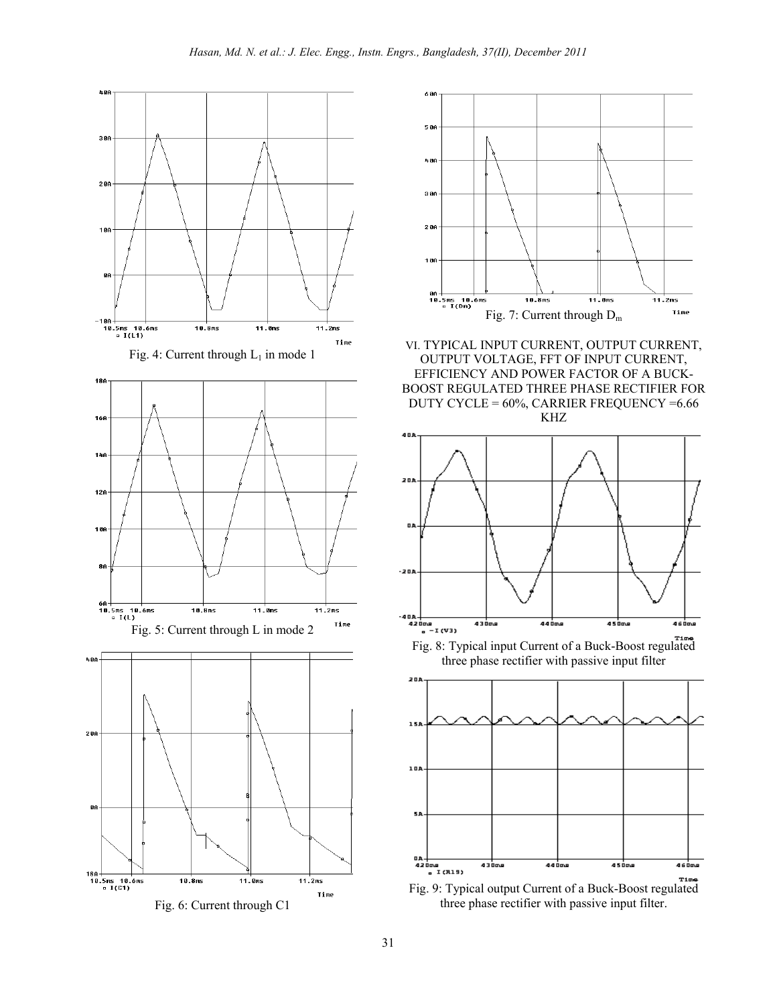



VI. TYPICAL INPUT CURRENT, OUTPUT CURRENT, OUTPUT VOLTAGE, FFT OF INPUT CURRENT, EFFICIENCY AND POWER FACTOR OF A BUCK-BOOST REGULATED THREE PHASE RECTIFIER FOR DUTY CYCLE = 60%, CARRIER FREQUENCY =6.66 KHZ



three phase rectifier with passive input filter



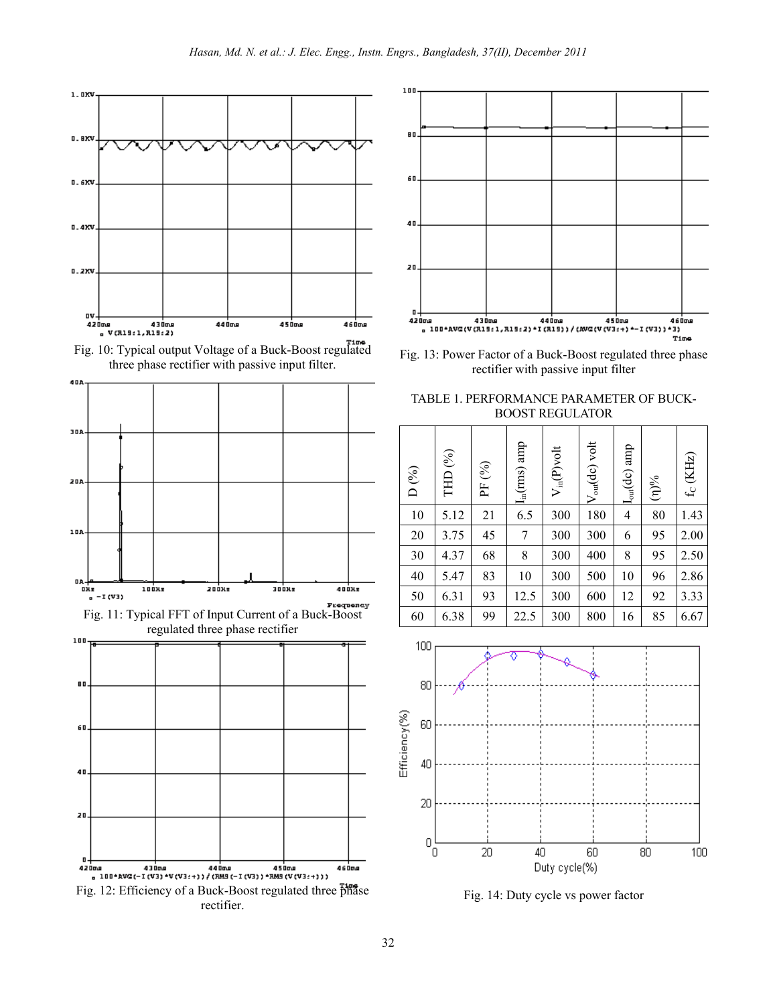











Fig. 13: Power Factor of a Buck-Boost regulated three phase rectifier with passive input filter

TABLE 1. PERFORMANCE PARAMETER OF BUCK-BOOST REGULATOR

| D $(\%)$ | THD <sup>(%)</sup> | PF (%) | $I_{\text{in}}(\text{rms})$ amp | $V_{in}(P)$ volt | $V_{\text{out}}(dc)$ volt | $I_{out}(dc)$ amp | $\sqrt[3]{(1)}$ | $f_C$ (KHz) |
|----------|--------------------|--------|---------------------------------|------------------|---------------------------|-------------------|-----------------|-------------|
| 10       | 5.12               | 21     | 6.5                             | 300              | 180                       | 4                 | 80              | 1.43        |
| 20       | 3.75               | 45     | 7                               | 300              | 300                       | 6                 | 95              | 2.00        |
| 30       | 4.37               | 68     | 8                               | 300              | 400                       | 8                 | 95              | 2.50        |
| 40       | 5.47               | 83     | 10                              | 300              | 500                       | 10                | 96              | 2.86        |
| 50       | 6.31               | 93     | 12.5                            | 300              | 600                       | 12                | 92              | 3.33        |
| 60       | 6.38               | 99     | 22.5                            | 300              | 800                       | 16                | 85              | 6.67        |



Fig. 14: Duty cycle vs power factor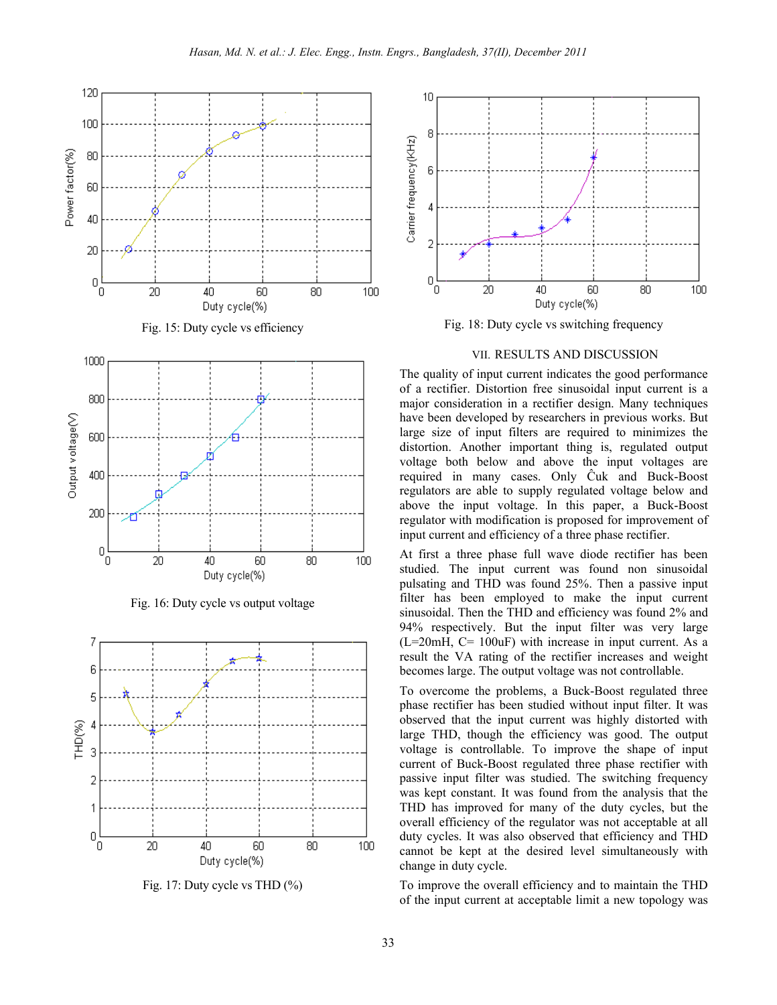

Fig. 16: Duty cycle vs output voltage



Fig. 17: Duty cycle vs THD (%)



Fig. 18: Duty cycle vs switching frequency

#### VII. RESULTS AND DISCUSSION

The quality of input current indicates the good performance of a rectifier. Distortion free sinusoidal input current is a major consideration in a rectifier design. Many techniques have been developed by researchers in previous works. But large size of input filters are required to minimizes the distortion. Another important thing is, regulated output voltage both below and above the input voltages are required in many cases. Only Ĉuk and Buck-Boost regulators are able to supply regulated voltage below and above the input voltage. In this paper, a Buck-Boost regulator with modification is proposed for improvement of input current and efficiency of a three phase rectifier.

At first a three phase full wave diode rectifier has been studied. The input current was found non sinusoidal pulsating and THD was found 25%. Then a passive input filter has been employed to make the input current sinusoidal. Then the THD and efficiency was found 2% and 94% respectively. But the input filter was very large  $(L=20mH, C=100uF)$  with increase in input current. As a result the VA rating of the rectifier increases and weight becomes large. The output voltage was not controllable.

To overcome the problems, a Buck-Boost regulated three phase rectifier has been studied without input filter. It was observed that the input current was highly distorted with large THD, though the efficiency was good. The output voltage is controllable. To improve the shape of input current of Buck-Boost regulated three phase rectifier with passive input filter was studied. The switching frequency was kept constant. It was found from the analysis that the THD has improved for many of the duty cycles, but the overall efficiency of the regulator was not acceptable at all duty cycles. It was also observed that efficiency and THD cannot be kept at the desired level simultaneously with change in duty cycle.

To improve the overall efficiency and to maintain the THD of the input current at acceptable limit a new topology was